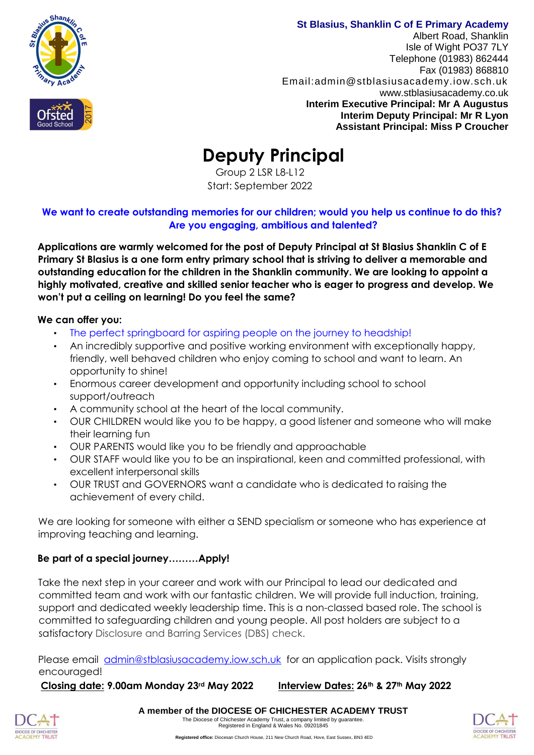

**St Blasius, Shanklin C of E Primary Academy** 

Albert Road, Shanklin Isle of Wight PO37 7LY Telephone (01983) 862444 Fax (01983) 868810 Email:admin@stblasiusacademy.iow.sch.uk [www.stblasiusacademy.co.uk](http://www.stblasiusacademy.co.uk/) **Interim Executive Principal: Mr A Augustus Interim Deputy Principal: Mr R Lyon Assistant Principal: Miss P Croucher**

# **Deputy Principal**

Group 2 LSR L8-L12 Start: September 2022

### **We want to create outstanding memories for our children; would you help us continue to do this? Are you engaging, ambitious and talented?**

**Applications are warmly welcomed for the post of Deputy Principal at St Blasius Shanklin C of E Primary St Blasius is a one form entry primary school that is striving to deliver a memorable and outstanding education for the children in the Shanklin community. We are looking to appoint a highly motivated, creative and skilled senior teacher who is eager to progress and develop. We won't put a ceiling on learning! Do you feel the same?** 

#### **We can offer you:**

- The perfect springboard for aspiring people on the journey to headship!
- An incredibly supportive and positive working environment with exceptionally happy, friendly, well behaved children who enjoy coming to school and want to learn. An opportunity to shine!
- Enormous career development and opportunity including school to school support/outreach
- A community school at the heart of the local community.
- OUR CHILDREN would like you to be happy, a good listener and someone who will make their learning fun
- OUR PARENTS would like you to be friendly and approachable
- OUR STAFF would like you to be an inspirational, keen and committed professional, with excellent interpersonal skills
- OUR TRUST and GOVERNORS want a candidate who is dedicated to raising the achievement of every child.

We are looking for someone with either a SEND specialism or someone who has experience at improving teaching and learning.

#### **Be part of a special journey………Apply!**

Take the next step in your career and work with our Principal to lead our dedicated and committed team and work with our fantastic children. We will provide full induction, training, support and dedicated weekly leadership time. This is a non-classed based role. The school is committed to safeguarding children and young people. All post holders are subject to a satisfactory Disclosure and Barring Services (DBS) check.

Please email [admin@stblasiusacademy.iow.sch.uk](mailto:admin@stblasiusacademy.iow.sch.uk) for an application pack. Visits strongly encouraged!

**Closing date: 9.00am Monday 23rd May 2022 Interview Dates: 26th & 27th May 2022**



**A member of the DIOCESE OF CHICHESTER ACADEMY TRUST** The Diocese of Chichester Academy Trust, a company limited by guarantee. Registered in England & Wales No. 09201845

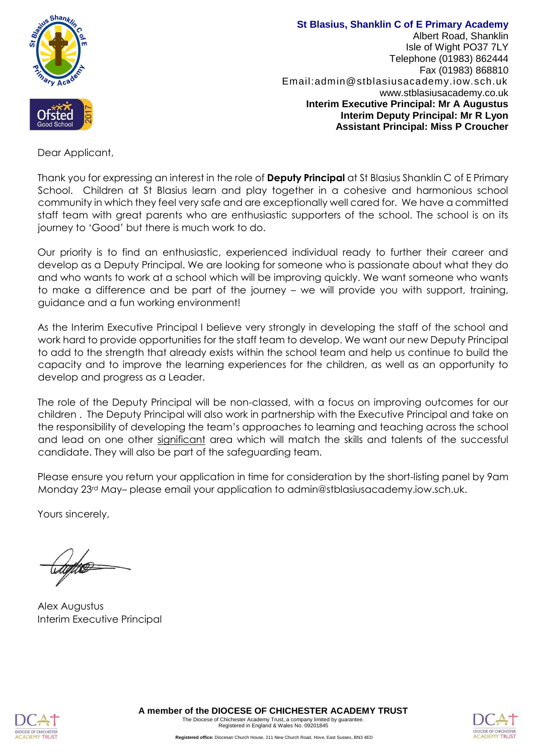

**St Blasius, Shanklin C of E Primary Academy**  Albert Road, Shanklin Isle of Wight PO37 7LY Telephone (01983) 862444 Fax (01983) 868810 Email:admin@stblasiusacademy.iow.sch.uk [www.stblasiusacademy.co.uk](http://www.stblasiusacademy.co.uk/) **Interim Executive Principal: Mr A Augustus Interim Deputy Principal: Mr R Lyon Assistant Principal: Miss P Croucher**

Dear Applicant,

Thank you for expressing an interest in the role of **Deputy Principal** at St Blasius Shanklin C of E Primary School. Children at St Blasius learn and play together in a cohesive and harmonious school community in which they feel very safe and are exceptionally well cared for. We have a committed staff team with great parents who are enthusiastic supporters of the school. The school is on its journey to 'Good' but there is much work to do.

Our priority is to find an enthusiastic, experienced individual ready to further their career and develop as a Deputy Principal. We are looking for someone who is passionate about what they do and who wants to work at a school which will be improving quickly. We want someone who wants to make a difference and be part of the journey – we will provide you with support, training, guidance and a fun working environment!

As the Interim Executive Principal I believe very strongly in developing the staff of the school and work hard to provide opportunities for the staff team to develop. We want our new Deputy Principal to add to the strength that already exists within the school team and help us continue to build the capacity and to improve the learning experiences for the children, as well as an opportunity to develop and progress as a Leader.

The role of the Deputy Principal will be non-classed, with a focus on improving outcomes for our children . The Deputy Principal will also work in partnership with the Executive Principal and take on the responsibility of developing the team's approaches to learning and teaching across the school and lead on one other significant area which will match the skills and talents of the successful candidate. They will also be part of the safeguarding team.

Please ensure you return your application in time for consideration by the short-listing panel by 9am Monday 23rd May– please email your application to admin@stblasiusacademy.iow.sch.uk.

Yours sincerely,

Alex Augustus Interim Executive Principal



**A member of the DIOCESE OF CHICHESTER ACADEMY TRUST** The Diocese of Chichester Academy Trust, a company limited by guarantee. Registered in England & Wales No. 09201845

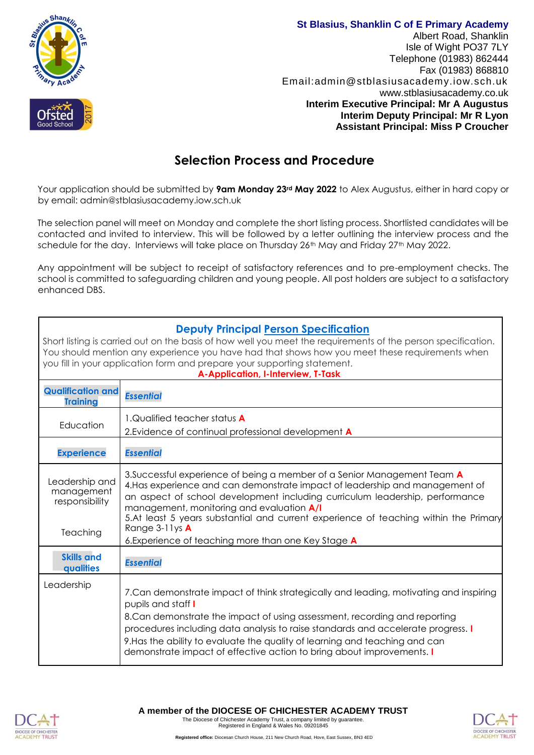

**St Blasius, Shanklin C of E Primary Academy**  Albert Road, Shanklin Isle of Wight PO37 7LY Telephone (01983) 862444 Fax (01983) 868810 Email:admin@stblasiusacademy.iow.sch.uk [www.stblasiusacademy.co.uk](http://www.stblasiusacademy.co.uk/) **Interim Executive Principal: Mr A Augustus Interim Deputy Principal: Mr R Lyon Assistant Principal: Miss P Croucher**

## **Selection Process and Procedure**

Your application should be submitted by **9am Monday 23rd May 2022** to Alex Augustus, either in hard copy or by email: admin@stblasiusacademy.iow.sch.uk

The selection panel will meet on Monday and complete the short listing process. Shortlisted candidates will be contacted and invited to interview. This will be followed by a letter outlining the interview process and the schedule for the day. Interviews will take place on Thursday 26<sup>th</sup> May and Friday 27<sup>th</sup> May 2022.

Any appointment will be subject to receipt of satisfactory references and to pre-employment checks. The school is committed to safeguarding children and young people. All post holders are subject to a satisfactory enhanced DBS.

| <b>Deputy Principal Person Specification</b><br>Short listing is carried out on the basis of how well you meet the requirements of the person specification.<br>You should mention any experience you have had that shows how you meet these requirements when<br>you fill in your application form and prepare your supporting statement.<br>A-Application, I-Interview, T-Task |                                                                                                                                                                                                                                                                                                                                                                                                                                                        |  |
|----------------------------------------------------------------------------------------------------------------------------------------------------------------------------------------------------------------------------------------------------------------------------------------------------------------------------------------------------------------------------------|--------------------------------------------------------------------------------------------------------------------------------------------------------------------------------------------------------------------------------------------------------------------------------------------------------------------------------------------------------------------------------------------------------------------------------------------------------|--|
| <b>Qualification and</b><br><b>Training</b>                                                                                                                                                                                                                                                                                                                                      | <b>Essential</b>                                                                                                                                                                                                                                                                                                                                                                                                                                       |  |
| Education                                                                                                                                                                                                                                                                                                                                                                        | 1.Qualified teacher status <b>A</b><br>2. Evidence of continual professional development A                                                                                                                                                                                                                                                                                                                                                             |  |
| <b>Experience</b>                                                                                                                                                                                                                                                                                                                                                                | <b>Essential</b>                                                                                                                                                                                                                                                                                                                                                                                                                                       |  |
| Leadership and<br>management<br>responsibility<br>Teaching                                                                                                                                                                                                                                                                                                                       | 3. Successful experience of being a member of a Senior Management Team A<br>4. Has experience and can demonstrate impact of leadership and management of<br>an aspect of school development including curriculum leadership, performance<br>management, monitoring and evaluation A/I<br>5.At least 5 years substantial and current experience of teaching within the Primary<br>Range 3-11ys A<br>6. Experience of teaching more than one Key Stage A |  |
| <b>Skills and</b><br>qualities                                                                                                                                                                                                                                                                                                                                                   | <b>Essential</b>                                                                                                                                                                                                                                                                                                                                                                                                                                       |  |
| Leadership                                                                                                                                                                                                                                                                                                                                                                       | 7. Can demonstrate impact of think strategically and leading, motivating and inspiring<br>pupils and staff<br>8.Can demonstrate the impact of using assessment, recording and reporting<br>procedures including data analysis to raise standards and accelerate progress. I<br>9. Has the ability to evaluate the quality of learning and teaching and can<br>demonstrate impact of effective action to bring about improvements. I                    |  |



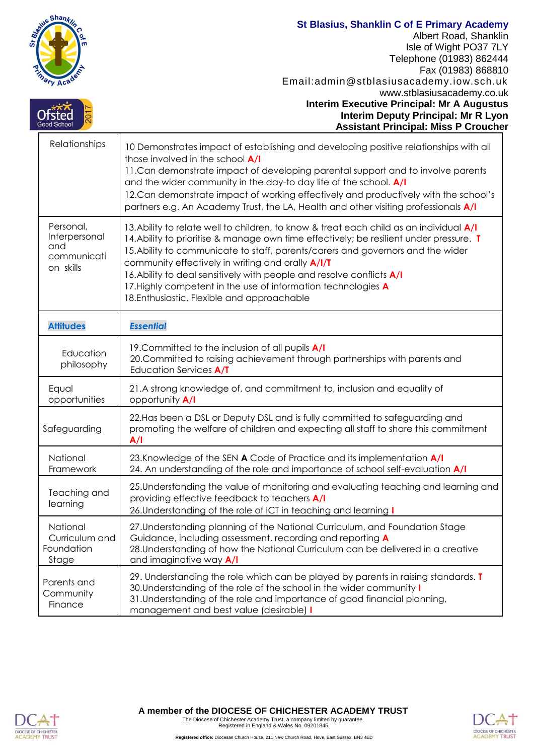| <b>Shank</b><br>ary Acad                                      | <b>St Blasius, Shanklin C of E Primary Academy</b><br>Albert Road, Shanklin<br>Isle of Wight PO37 7LY<br>Telephone (01983) 862444<br>Fax (01983) 868810<br>Email:admin@stblasiusacademy.iow.sch.uk<br>www.stblasiusacademy.co.uk<br>Interim Executive Principal: Mr A Augustus<br><b>Interim Deputy Principal: Mr R Lyon</b><br><b>Assistant Principal: Miss P Croucher</b>                                                                                                                                         |
|---------------------------------------------------------------|---------------------------------------------------------------------------------------------------------------------------------------------------------------------------------------------------------------------------------------------------------------------------------------------------------------------------------------------------------------------------------------------------------------------------------------------------------------------------------------------------------------------|
| Relationships                                                 | 10 Demonstrates impact of establishing and developing positive relationships with all<br>those involved in the school A/I<br>11. Can demonstrate impact of developing parental support and to involve parents<br>and the wider community in the day-to day life of the school. A/I<br>12. Can demonstrate impact of working effectively and productively with the school's<br>partners e.g. An Academy Trust, the LA, Health and other visiting professionals A/I                                                   |
| Personal,<br>Interpersonal<br>and<br>communicati<br>on skills | 13. Ability to relate well to children, to know & treat each child as an individual A/I<br>14. Ability to prioritise & manage own time effectively; be resilient under pressure. T<br>15. Ability to communicate to staff, parents/carers and governors and the wider<br>community effectively in writing and orally A/I/T<br>16. Ability to deal sensitively with people and resolve conflicts A/I<br>17. Highly competent in the use of information technologies A<br>18. Enthusiastic, Flexible and approachable |
| <b>Attitudes</b>                                              | <b>Essential</b>                                                                                                                                                                                                                                                                                                                                                                                                                                                                                                    |
| Education<br>philosophy                                       | 19. Committed to the inclusion of all pupils A/I<br>20. Committed to raising achievement through partnerships with parents and<br>Education Services A/T                                                                                                                                                                                                                                                                                                                                                            |
| Equal<br>opportunities                                        | 21.A strong knowledge of, and commitment to, inclusion and equality of<br>opportunity <b>A/I</b>                                                                                                                                                                                                                                                                                                                                                                                                                    |
| Safeguarding                                                  | 22. Has been a DSL or Deputy DSL and is fully committed to safeguarding and<br>promoting the welfare of children and expecting all staff to share this commitment<br>A/I                                                                                                                                                                                                                                                                                                                                            |
| National<br>Framework                                         | 23. Knowledge of the SEN A Code of Practice and its implementation A/I<br>24. An understanding of the role and importance of school self-evaluation A/I                                                                                                                                                                                                                                                                                                                                                             |
| Teaching and<br>learning                                      | 25. Understanding the value of monitoring and evaluating teaching and learning and<br>providing effective feedback to teachers A/I<br>26. Understanding of the role of ICT in teaching and learning I                                                                                                                                                                                                                                                                                                               |
| National<br>Curriculum and<br>Foundation<br>Stage             | 27. Understanding planning of the National Curriculum, and Foundation Stage<br>Guidance, including assessment, recording and reporting A<br>28. Understanding of how the National Curriculum can be delivered in a creative<br>and imaginative way A/I                                                                                                                                                                                                                                                              |
| Parents and<br>Community<br>Finance                           | 29. Understanding the role which can be played by parents in raising standards. T<br>30. Understanding of the role of the school in the wider community I<br>31. Understanding of the role and importance of good financial planning,<br>management and best value (desirable) I                                                                                                                                                                                                                                    |



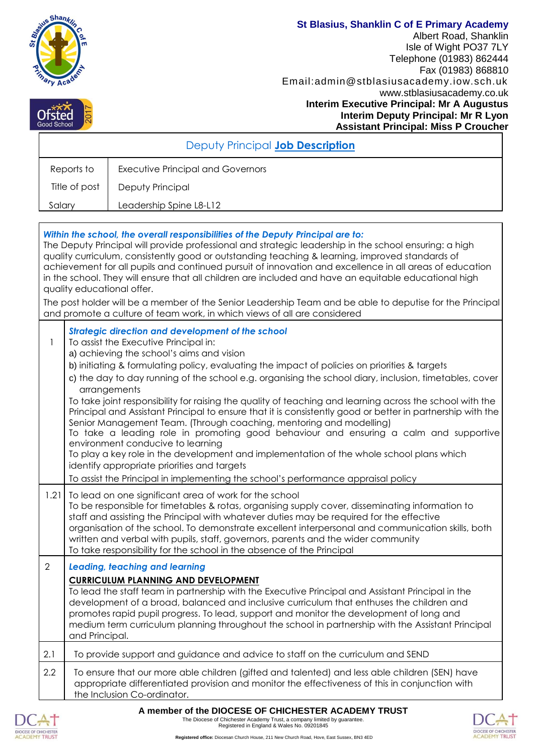| <b>REAL PROPERTY</b><br>Pary Acade<br>Good School | <b>St Blasius, Shanklin C of E Primary Academy</b><br>Albert Road, Shanklin<br>Isle of Wight PO37 7LY<br>Telephone (01983) 862444<br>Fax (01983) 868810<br>Email:admin@stblasiusacademy.iow.sch.uk<br>www.stblasiusacademy.co.uk<br><b>Interim Executive Principal: Mr A Augustus</b><br>Interim Deputy Principal: Mr R Lyon<br><b>Assistant Principal: Miss P Croucher</b>                                                                                                                                                                                                                                                                                                                                                                                                                                                                                                                                                                                                                                                              |
|---------------------------------------------------|------------------------------------------------------------------------------------------------------------------------------------------------------------------------------------------------------------------------------------------------------------------------------------------------------------------------------------------------------------------------------------------------------------------------------------------------------------------------------------------------------------------------------------------------------------------------------------------------------------------------------------------------------------------------------------------------------------------------------------------------------------------------------------------------------------------------------------------------------------------------------------------------------------------------------------------------------------------------------------------------------------------------------------------|
|                                                   | Deputy Principal Job Description                                                                                                                                                                                                                                                                                                                                                                                                                                                                                                                                                                                                                                                                                                                                                                                                                                                                                                                                                                                                         |
| Reports to                                        | <b>Executive Principal and Governors</b>                                                                                                                                                                                                                                                                                                                                                                                                                                                                                                                                                                                                                                                                                                                                                                                                                                                                                                                                                                                                 |
| Title of post                                     | Deputy Principal                                                                                                                                                                                                                                                                                                                                                                                                                                                                                                                                                                                                                                                                                                                                                                                                                                                                                                                                                                                                                         |
| Salary                                            | Leadership Spine L8-L12                                                                                                                                                                                                                                                                                                                                                                                                                                                                                                                                                                                                                                                                                                                                                                                                                                                                                                                                                                                                                  |
| quality educational offer.                        | The Deputy Principal will provide professional and strategic leadership in the school ensuring: a high<br>quality curriculum, consistently good or outstanding teaching & learning, improved standards of<br>achievement for all pupils and continued pursuit of innovation and excellence in all areas of education<br>in the school. They will ensure that all children are included and have an equitable educational high<br>The post holder will be a member of the Senior Leadership Team and be able to deputise for the Principal<br>and promote a culture of team work, in which views of all are considered                                                                                                                                                                                                                                                                                                                                                                                                                    |
| 1                                                 | <b>Strategic direction and development of the school</b><br>To assist the Executive Principal in:<br>a) achieving the school's aims and vision<br>b) initiating & formulating policy, evaluating the impact of policies on priorities & targets<br>c) the day to day running of the school e.g. organising the school diary, inclusion, timetables, cover<br>arrangements<br>To take joint responsibility for raising the quality of teaching and learning across the school with the<br>Principal and Assistant Principal to ensure that it is consistently good or better in partnership with the<br>Senior Management Team. (Through coaching, mentoring and modelling)<br>To take a leading role in promoting good behaviour and ensuring a calm and supportive<br>environment conducive to learning<br>To play a key role in the development and implementation of the whole school plans which<br>identify appropriate priorities and targets<br>To assist the Principal in implementing the school's performance appraisal policy |
| 1.21                                              | To lead on one significant area of work for the school<br>To be responsible for timetables & rotas, organising supply cover, disseminating information to<br>staff and assisting the Principal with whatever duties may be required for the effective<br>organisation of the school. To demonstrate excellent interpersonal and communication skills, both<br>written and verbal with pupils, staff, governors, parents and the wider community<br>To take responsibility for the school in the absence of the Principal                                                                                                                                                                                                                                                                                                                                                                                                                                                                                                                 |
| $\overline{2}$<br>and Principal.                  | Leading, teaching and learning<br><b>CURRICULUM PLANNING AND DEVELOPMENT</b><br>To lead the staff team in partnership with the Executive Principal and Assistant Principal in the<br>development of a broad, balanced and inclusive curriculum that enthuses the children and<br>promotes rapid pupil progress. To lead, support and monitor the development of long and<br>medium term curriculum planning throughout the school in partnership with the Assistant Principal                                                                                                                                                                                                                                                                                                                                                                                                                                                                                                                                                            |
| 2.1                                               | To provide support and guidance and advice to staff on the curriculum and SEND                                                                                                                                                                                                                                                                                                                                                                                                                                                                                                                                                                                                                                                                                                                                                                                                                                                                                                                                                           |
| 2.2                                               | To ensure that our more able children (gifted and talented) and less able children (SEN) have<br>appropriate differentiated provision and monitor the effectiveness of this in conjunction with<br>the Inclusion Co-ordinator.                                                                                                                                                                                                                                                                                                                                                                                                                                                                                                                                                                                                                                                                                                                                                                                                           |